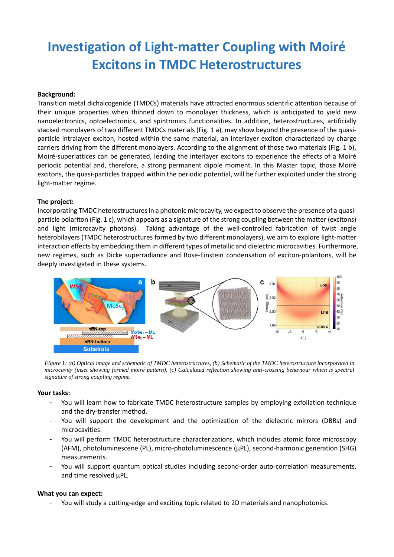# **Investigation of Light-matter Coupling with Moiré Excitons in TMDC Heterostructures**

### **Background:**

Transition metal dichalcogenide (TMDCs) materials have attracted enormous scientific attention because of their unique properties when thinned down to monolayer thickness, which is anticipated to yield new nanoelectronics, optoelectronics, and spintronics functionalities. In addition, heterostructures, artificially stacked monolayers of two different TMDCs materials (Fig. 1 a), may show beyond the presence of the quasiparticle intralayer exciton, hosted within the same material, an interlayer exciton characterized by charge carriers driving from the different monolayers. According to the alignment of those two materials (Fig. 1 b), Moiré-superlattices can be generated, leading the interlayer excitons to experience the effects of a Moiré periodic potential and, therefore, a strong permanent dipole moment. In this Master topic, those Moiré excitons, the quasi-particles trapped within the periodic potential, will be further exploited under the strong light-matter regime.

#### **The project:**

Incorporating TMDC heterostructures in a photonic microcavity, we expect to observe the presence of a quasiparticle polariton (Fig. 1 c), which appears as a signature of the strong coupling between the matter (excitons) and light (microcavity photons). Taking advantage of the well-controlled fabrication of twist angle heterobilayers (TMDC heterostructures formed by two different monolayers), we aim to explore light-matter interaction effects by embedding them in different types of metallic and dielectric microcavities. Furthermore, new regimes, such as Dicke superradiance and Bose-Einstein condensation of exciton-polaritons, will be deeply investigated in these systems.



*Figure 1: (a) Optical image and schematic of TMDC heterostructures, (b) Schematic of the TMDC heterostructure incorporated in microcavity (inset showing formed moiré pattern), (c) Calculated reflection showing anti-crossing behaviour which is spectral signature of strong coupling regime.* 

#### **Your tasks:**

- You will learn how to fabricate TMDC heterostructure samples by employing exfoliation technique and the dry-transfer method.
- You will support the development and the optimization of the dielectric mirrors (DBRs) and microcavities.
- You will perform TMDC heterostructure characterizations, which includes atomic force microscopy (AFM), photoluminescene (PL), micro-photoluminescence (µPL), second-harmonic generation (SHG) measurements.
- You will support quantum optical studies including second-order auto-correlation measurements, and time resolved µPL.

#### **What you can expect:**

You will study a cutting-edge and exciting topic related to 2D materials and nanophotonics.